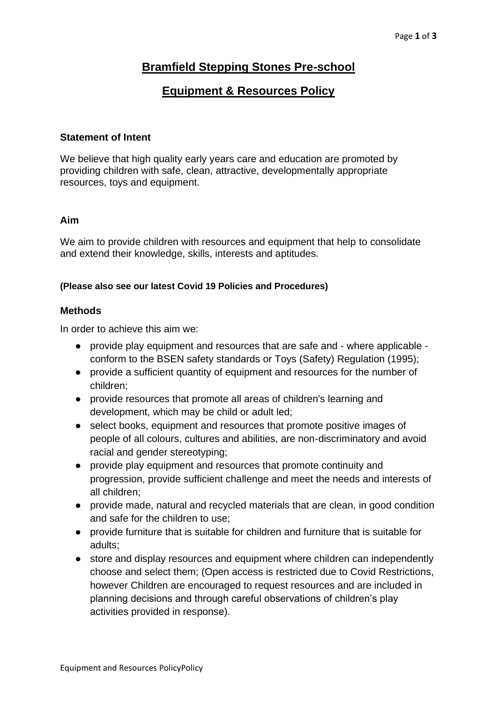# **Bramfield Stepping Stones Pre-school**

## **Equipment & Resources Policy**

#### **Statement of Intent**

We believe that high quality early years care and education are promoted by providing children with safe, clean, attractive, developmentally appropriate resources, toys and equipment.

#### **Aim**

We aim to provide children with resources and equipment that help to consolidate and extend their knowledge, skills, interests and aptitudes.

#### **(Please also see our latest Covid 19 Policies and Procedures)**

### **Methods**

In order to achieve this aim we:

- provide play equipment and resources that are safe and where applicable conform to the BSEN safety standards or Toys (Safety) Regulation (1995);
- provide a sufficient quantity of equipment and resources for the number of children;
- provide resources that promote all areas of children's learning and development, which may be child or adult led;
- select books, equipment and resources that promote positive images of people of all colours, cultures and abilities, are non-discriminatory and avoid racial and gender stereotyping;
- provide play equipment and resources that promote continuity and progression, provide sufficient challenge and meet the needs and interests of all children;
- provide made, natural and recycled materials that are clean, in good condition and safe for the children to use;
- provide furniture that is suitable for children and furniture that is suitable for adults;
- store and display resources and equipment where children can independently choose and select them; (Open access is restricted due to Covid Restrictions, however Children are encouraged to request resources and are included in planning decisions and through careful observations of children's play activities provided in response).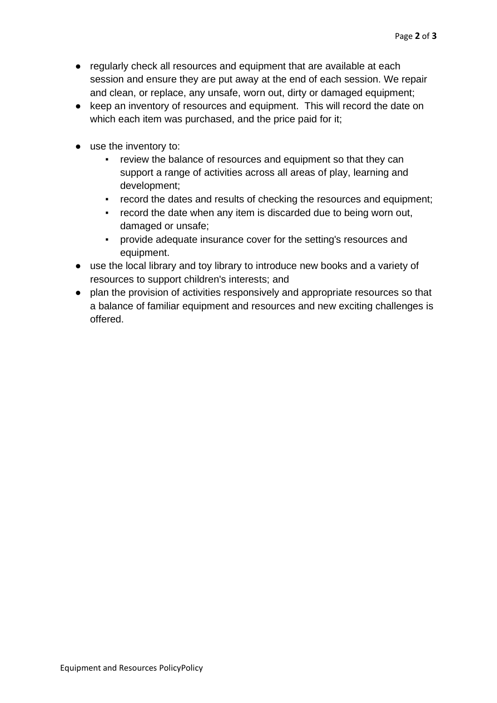- regularly check all resources and equipment that are available at each session and ensure they are put away at the end of each session. We repair and clean, or replace, any unsafe, worn out, dirty or damaged equipment;
- keep an inventory of resources and equipment. This will record the date on which each item was purchased, and the price paid for it;
- use the inventory to:
	- review the balance of resources and equipment so that they can support a range of activities across all areas of play, learning and development;
	- record the dates and results of checking the resources and equipment;
	- record the date when any item is discarded due to being worn out, damaged or unsafe;
	- provide adequate insurance cover for the setting's resources and equipment.
- use the local library and toy library to introduce new books and a variety of resources to support children's interests; and
- plan the provision of activities responsively and appropriate resources so that a balance of familiar equipment and resources and new exciting challenges is offered.